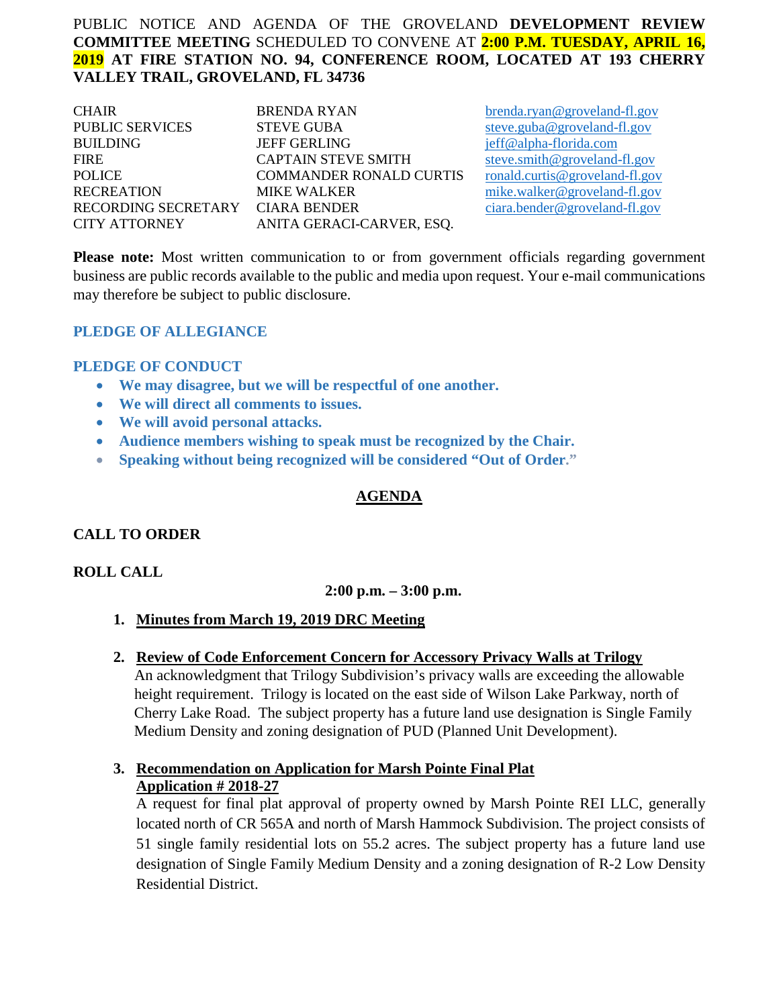# PUBLIC NOTICE AND AGENDA OF THE GROVELAND **DEVELOPMENT REVIEW COMMITTEE MEETING** SCHEDULED TO CONVENE AT **2:00 P.M. TUESDAY, APRIL 16, 2019 AT FIRE STATION NO. 94, CONFERENCE ROOM, LOCATED AT 193 CHERRY VALLEY TRAIL, GROVELAND, FL 34736**

| <b>CHAIR</b>                     | <b>BRENDA RYAN</b>             |
|----------------------------------|--------------------------------|
| <b>PUBLIC SERVICES</b>           | <b>STEVE GUBA</b>              |
| <b>BUILDING</b>                  | <b>JEFF GERLING</b>            |
| <b>FIRE</b>                      | <b>CAPTAIN STEVE SMITH</b>     |
| <b>POLICE</b>                    | <b>COMMANDER RONALD CURTIS</b> |
| <b>RECREATION</b>                | <b>MIKE WALKER</b>             |
| RECORDING SECRETARY CIARA BENDER |                                |
| CITY ATTORNEY                    | ANITA GERACI-CARVER, ESQ.      |

[brenda.ryan@groveland-fl.gov](mailto:brenda.ryan@groveland-fl.gov) [steve.guba@groveland-fl.gov](mailto:steve.guba@groveland-fl.gov) [jeff@alpha-florida.com](mailto:jeff@alpha-florida.com) [steve.smith@groveland-fl.gov](mailto:steve.smith@groveland-fl.gov)  $rondd.curti\omega$  groveland-fl.gov  $mike$ , walker@groveland-fl.gov [ciara.bender@groveland-fl.gov](mailto:ciara.bender@groveland-fl.gov)

**Please note:** Most written communication to or from government officials regarding government business are public records available to the public and media upon request. Your e-mail communications may therefore be subject to public disclosure.

#### **PLEDGE OF ALLEGIANCE**

#### **PLEDGE OF CONDUCT**

- **We may disagree, but we will be respectful of one another.**
- **We will direct all comments to issues.**
- **We will avoid personal attacks.**
- **Audience members wishing to speak must be recognized by the Chair.**
- **Speaking without being recognized will be considered "Out of Order."**

# **AGENDA**

# **CALL TO ORDER**

#### **ROLL CALL**

# **2:00 p.m. – 3:00 p.m.**

- **1. Minutes from March 19, 2019 DRC Meeting**
- **2. Review of Code Enforcement Concern for Accessory Privacy Walls at Trilogy** An acknowledgment that Trilogy Subdivision's privacy walls are exceeding the allowable height requirement. Trilogy is located on the east side of Wilson Lake Parkway, north of Cherry Lake Road. The subject property has a future land use designation is Single Family Medium Density and zoning designation of PUD (Planned Unit Development).
- **3. Recommendation on Application for Marsh Pointe Final Plat Application # 2018-27**

A request for final plat approval of property owned by Marsh Pointe REI LLC, generally located north of CR 565A and north of Marsh Hammock Subdivision. The project consists of 51 single family residential lots on 55.2 acres. The subject property has a future land use designation of Single Family Medium Density and a zoning designation of R-2 Low Density Residential District.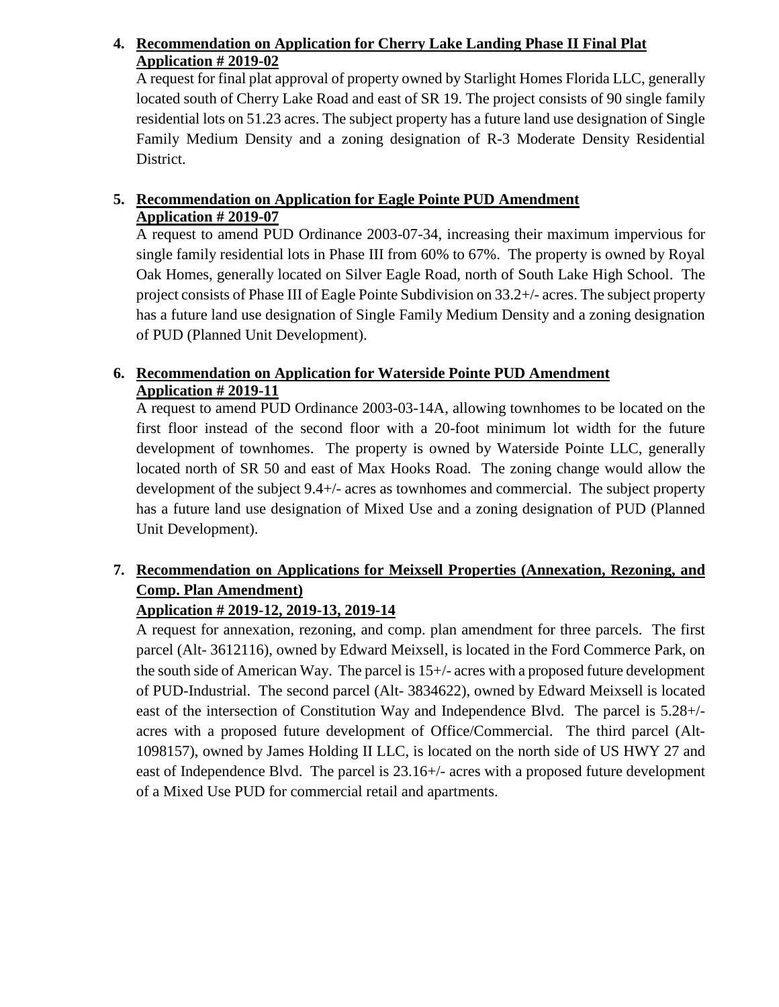# **4. Recommendation on Application for Cherry Lake Landing Phase II Final Plat Application # 2019-02**

A request for final plat approval of property owned by Starlight Homes Florida LLC, generally located south of Cherry Lake Road and east of SR 19. The project consists of 90 single family residential lots on 51.23 acres. The subject property has a future land use designation of Single Family Medium Density and a zoning designation of R-3 Moderate Density Residential District.

# **5. Recommendation on Application for Eagle Pointe PUD Amendment Application # 2019-07**

A request to amend PUD Ordinance 2003-07-34, increasing their maximum impervious for single family residential lots in Phase III from 60% to 67%. The property is owned by Royal Oak Homes, generally located on Silver Eagle Road, north of South Lake High School. The project consists of Phase III of Eagle Pointe Subdivision on 33.2+/- acres. The subject property has a future land use designation of Single Family Medium Density and a zoning designation of PUD (Planned Unit Development).

# **6. Recommendation on Application for Waterside Pointe PUD Amendment Application # 2019-11**

A request to amend PUD Ordinance 2003-03-14A, allowing townhomes to be located on the first floor instead of the second floor with a 20-foot minimum lot width for the future development of townhomes. The property is owned by Waterside Pointe LLC, generally located north of SR 50 and east of Max Hooks Road. The zoning change would allow the development of the subject 9.4+/- acres as townhomes and commercial. The subject property has a future land use designation of Mixed Use and a zoning designation of PUD (Planned Unit Development).

# **7. Recommendation on Applications for Meixsell Properties (Annexation, Rezoning, and Comp. Plan Amendment)**

# **Application # 2019-12, 2019-13, 2019-14**

A request for annexation, rezoning, and comp. plan amendment for three parcels. The first parcel (Alt- 3612116), owned by Edward Meixsell, is located in the Ford Commerce Park, on the south side of American Way. The parcel is 15+/- acres with a proposed future development of PUD-Industrial. The second parcel (Alt- 3834622), owned by Edward Meixsell is located east of the intersection of Constitution Way and Independence Blvd. The parcel is 5.28+/ acres with a proposed future development of Office/Commercial. The third parcel (Alt-1098157), owned by James Holding II LLC, is located on the north side of US HWY 27 and east of Independence Blvd. The parcel is 23.16+/- acres with a proposed future development of a Mixed Use PUD for commercial retail and apartments.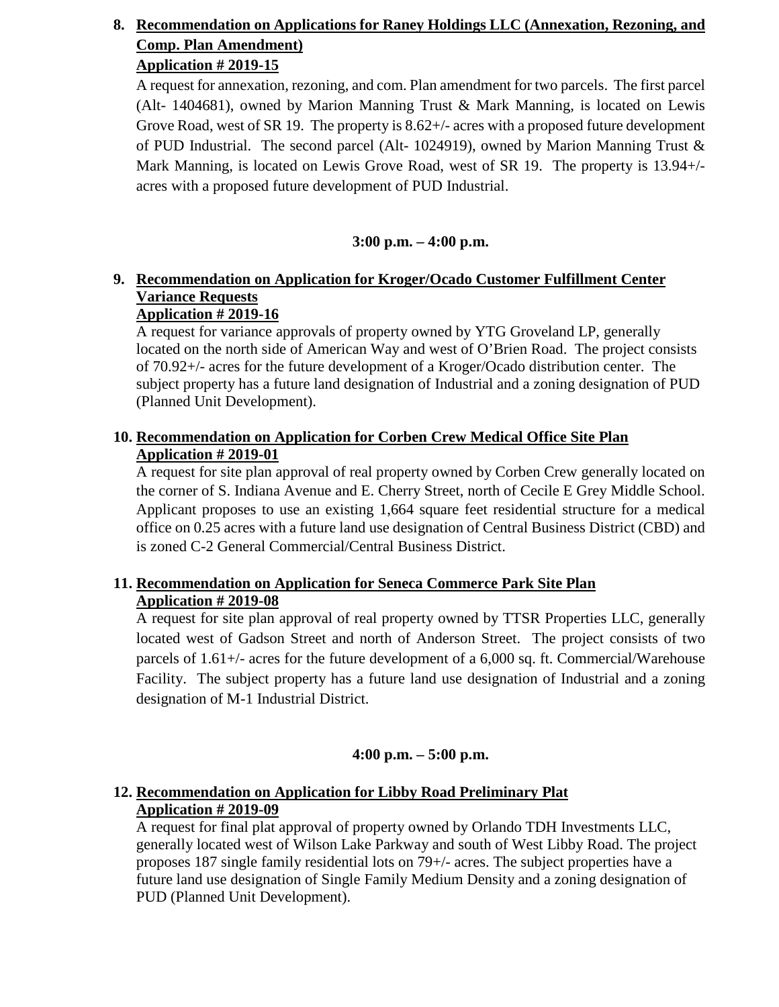# **8. Recommendation on Applications for Raney Holdings LLC (Annexation, Rezoning, and Comp. Plan Amendment)**

# **Application # 2019-15**

A request for annexation, rezoning, and com. Plan amendment for two parcels. The first parcel (Alt- 1404681), owned by Marion Manning Trust & Mark Manning, is located on Lewis Grove Road, west of SR 19. The property is 8.62+/- acres with a proposed future development of PUD Industrial. The second parcel (Alt- 1024919), owned by Marion Manning Trust & Mark Manning, is located on Lewis Grove Road, west of SR 19. The property is 13.94+/ acres with a proposed future development of PUD Industrial.

# **3:00 p.m. – 4:00 p.m.**

# **9. Recommendation on Application for Kroger/Ocado Customer Fulfillment Center Variance Requests**

# **Application # 2019-16**

A request for variance approvals of property owned by YTG Groveland LP, generally located on the north side of American Way and west of O'Brien Road. The project consists of 70.92+/- acres for the future development of a Kroger/Ocado distribution center. The subject property has a future land designation of Industrial and a zoning designation of PUD (Planned Unit Development).

# **10. Recommendation on Application for Corben Crew Medical Office Site Plan Application # 2019-01**

A request for site plan approval of real property owned by Corben Crew generally located on the corner of S. Indiana Avenue and E. Cherry Street, north of Cecile E Grey Middle School. Applicant proposes to use an existing 1,664 square feet residential structure for a medical office on 0.25 acres with a future land use designation of Central Business District (CBD) and is zoned C-2 General Commercial/Central Business District.

# **11. Recommendation on Application for Seneca Commerce Park Site Plan Application # 2019-08**

A request for site plan approval of real property owned by TTSR Properties LLC, generally located west of Gadson Street and north of Anderson Street. The project consists of two parcels of 1.61+/- acres for the future development of a 6,000 sq. ft. Commercial/Warehouse Facility. The subject property has a future land use designation of Industrial and a zoning designation of M-1 Industrial District.

# **4:00 p.m. – 5:00 p.m.**

# **12. Recommendation on Application for Libby Road Preliminary Plat Application # 2019-09**

A request for final plat approval of property owned by Orlando TDH Investments LLC, generally located west of Wilson Lake Parkway and south of West Libby Road. The project proposes 187 single family residential lots on 79+/- acres. The subject properties have a future land use designation of Single Family Medium Density and a zoning designation of PUD (Planned Unit Development).